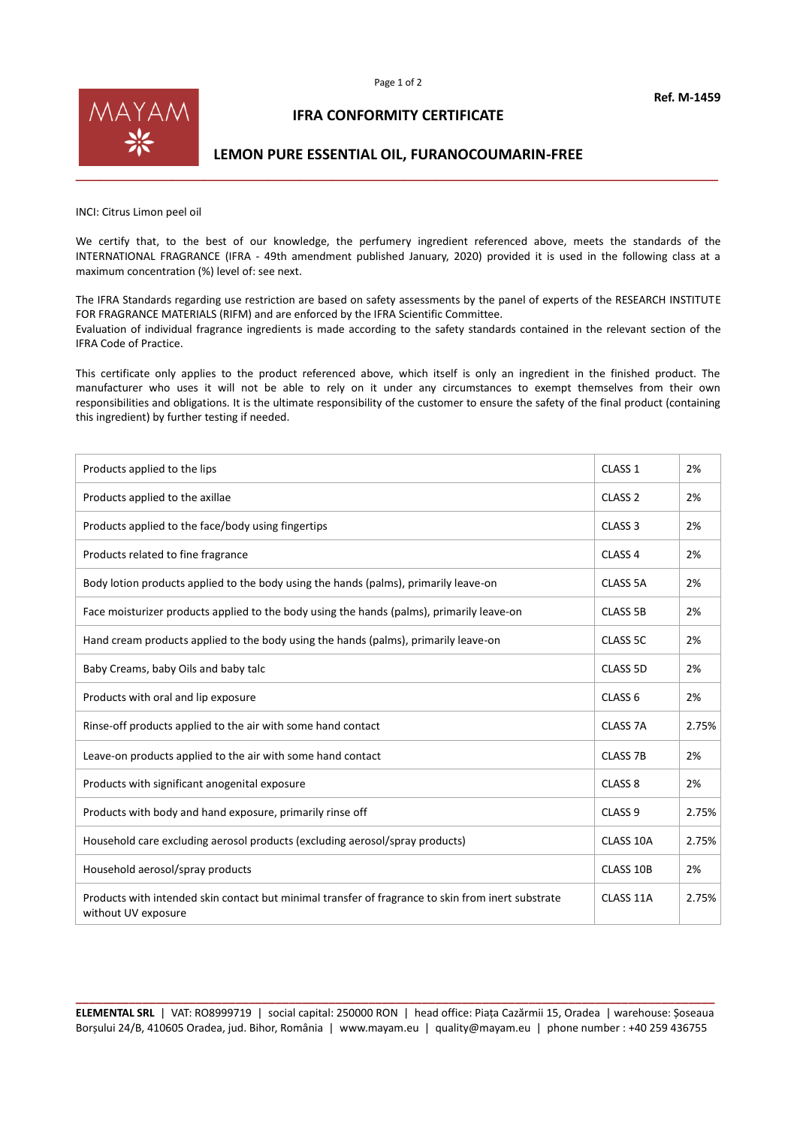

## **IFRA CONFORMITY CERTIFICATE**

## **LEMON PURE ESSENTIAL OIL, FURANOCOUMARIN-FREE**

INCI: Citrus Limon peel oil

We certify that, to the best of our knowledge, the perfumery ingredient referenced above, meets the standards of the INTERNATIONAL FRAGRANCE (IFRA - 49th amendment published January, 2020) provided it is used in the following class at a maximum concentration (%) level of: see next.

The IFRA Standards regarding use restriction are based on safety assessments by the panel of experts of the RESEARCH INSTITUTE FOR FRAGRANCE MATERIALS (RIFM) and are enforced by the IFRA Scientific Committee. Evaluation of individual fragrance ingredients is made according to the safety standards contained in the relevant section of the IFRA Code of Practice.

This certificate only applies to the product referenced above, which itself is only an ingredient in the finished product. The manufacturer who uses it will not be able to rely on it under any circumstances to exempt themselves from their own responsibilities and obligations. It is the ultimate responsibility of the customer to ensure the safety of the final product (containing this ingredient) by further testing if needed.

| Products applied to the lips                                                                                              | CLASS <sub>1</sub> | 2%    |
|---------------------------------------------------------------------------------------------------------------------------|--------------------|-------|
| Products applied to the axillae                                                                                           | CLASS <sub>2</sub> | 2%    |
| Products applied to the face/body using fingertips                                                                        | CLASS <sub>3</sub> | 2%    |
| Products related to fine fragrance                                                                                        | CLASS <sub>4</sub> | 2%    |
| Body lotion products applied to the body using the hands (palms), primarily leave-on                                      | <b>CLASS 5A</b>    | 2%    |
| Face moisturizer products applied to the body using the hands (palms), primarily leave-on                                 | <b>CLASS 5B</b>    | 2%    |
| Hand cream products applied to the body using the hands (palms), primarily leave-on                                       | CLASS 5C           | 2%    |
| Baby Creams, baby Oils and baby talc                                                                                      | <b>CLASS 5D</b>    | 2%    |
| Products with oral and lip exposure                                                                                       | CLASS <sub>6</sub> | 2%    |
| Rinse-off products applied to the air with some hand contact                                                              | CLASS 7A           | 2.75% |
| Leave-on products applied to the air with some hand contact                                                               | <b>CLASS 7B</b>    | 2%    |
| Products with significant anogenital exposure                                                                             | CLASS <sub>8</sub> | 2%    |
| Products with body and hand exposure, primarily rinse off                                                                 | CLASS <sub>9</sub> | 2.75% |
| Household care excluding aerosol products (excluding aerosol/spray products)                                              | CLASS 10A          | 2.75% |
| Household aerosol/spray products                                                                                          | CLASS 10B          | 2%    |
| Products with intended skin contact but minimal transfer of fragrance to skin from inert substrate<br>without UV exposure | CLASS 11A          | 2.75% |

**\_\_\_\_\_\_\_\_\_\_\_\_\_\_\_\_\_\_\_\_\_\_\_\_\_\_\_\_\_\_\_\_\_\_\_\_\_\_\_\_\_\_\_\_\_\_\_\_\_\_\_\_\_\_\_\_\_\_\_\_\_\_\_\_\_\_\_\_\_\_\_\_\_\_\_\_\_\_\_\_\_\_\_\_\_\_\_\_\_\_\_\_\_\_\_\_ ELEMENTAL SRL** | VAT: RO8999719 | social capital: 250000 RON | head office: Piața Cazărmii 15, Oradea | warehouse: Șoseaua Borșului 24/B, 410605 Oradea, jud. Bihor, România | www.mayam.eu | quality@mayam.eu | phone number : +40 259 436755